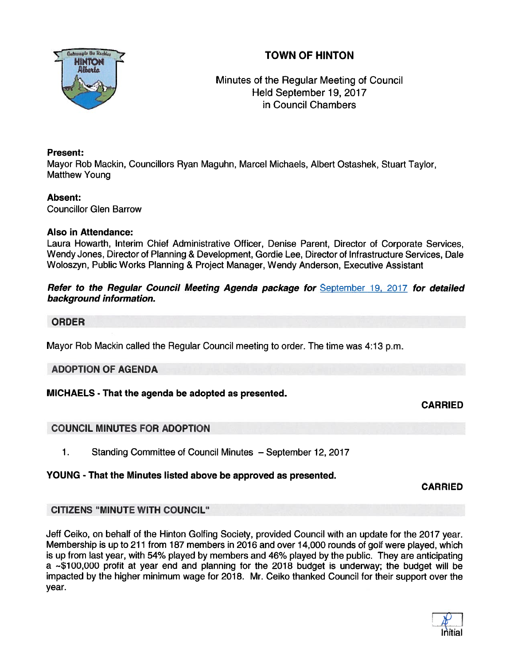



# Minutes of the Regular Meeting of Council Held September 19, 2017 in Council Chambers

### Present:

Mayor Rob Mackin, Councillors Ryan Maguhn, Marcel Michaels, Albert Ostashek, Stuart Taylor, Matthew Young

## Absent:

Councillor Glen Barrow

### Also in Attendance:

Laura Howarth, Interim Chief Administrative Officer, Denise Parent, Director of Corporate Services, Wendy Jones, Director of Planning & Development, Gordie Lee, Director of Infrastructure Services, Dale Woloszyn, Public Works Planning & Project Manager, Wendy Anderson, Executive Assistant

### Refer to the Regular Council Meeting Agenda package for September 19, 2017 for detailed background information.

### ORDER

Mayor Rob Mackin called the Regular Council meeting to order. The time was 4:13 p.m.

## ADOPTION OF AGENDA

## MICHAELS - That the agenda be adopted as presented.

## CARRIED

## COUNCIL MINUTES FOR ADOPTION

1. Standing Committee of Council Minutes — September 12, 2017

### YOUNG - That the Minutes listed above be approved as presented.

CARRIED

## CITIZENS "MINUTE WITH COUNCIL"

Jeff Ceiko, on behalf of the Hinton Golfing Society, provided Council with an update for the 2017 year. Membership is up to 211 from 187 members in 2016 and over 14,000 rounds of golf were played, which is up from last year, with 54% played by members and 46% played by the public. They are anticipating a  $\sim$ \$100,000 profit at year end and planning for the 2018 budget is underway; the budget will be impacted by the higher minimum wage for 2018. Mr. Ceiko thanked Council for their suppor<sup>t</sup> over the year.

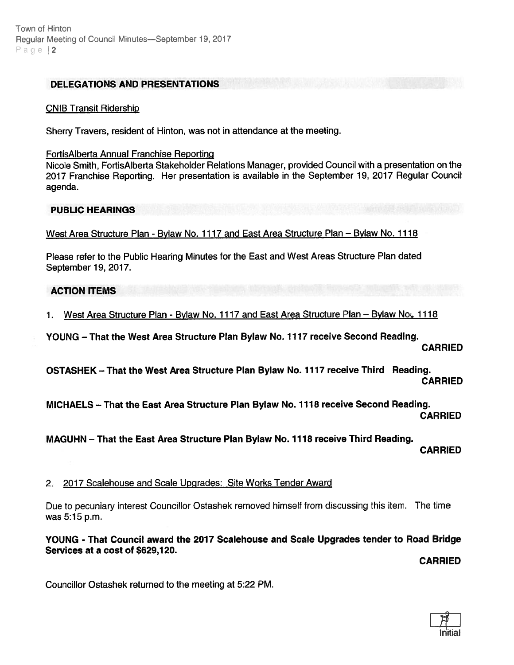#### DELEGATIONS AND PRESENTATIONS

#### CNIB Transit Ridership

Sherry Travers, resident of Hinton, was not in attendance at the meeting.

#### FortisAlberta Annual Franchise Reporting

Nicole Smith, FortisAlberta Stakeholder Relations Manager, provided Council with <sup>a</sup> presentation on the 2017 Franchise Reporting. Her presentation is available in the September 19, 2017 Regular Council agenda.

#### PUBLIC HEARINGS

West Area Structure Plan - Bylaw No. 1117 and East Area Structure Plan — Bylaw No. 1118

Please refer to the Public Hearing Minutes for the East and West Areas Structure Plan dated September 19, 2017.

### ACTION ITEMS

1. West Area Structure Plan - Bylaw No. 1117 and East Area Structure Plan – Bylaw Not. 1118

YOUNG — That the West Area Structure Plan Bylaw No. 1717 receive Second Reading.

**CARRIED** 

OSTASHEK — That the West Area Structure Plan Bylaw No. 1117 receive Third Reading. CARRIED

MICHAELS — That the East Area Structure Plan Bylaw No. 1118 receive Second Reading.

CARRIED

MAGUHN — That the East Area Structure Plan Bylaw No. 1718 receive Third Reading.

CARRIED

### 2. 2017 Scalehouse and Scale Upgrades: Site Works Tender Award

Due to pecuniary interest Councillor Ostashek removed himself from discussing this item. The time was 5:15 p.m.

YOUNG - That Council award the 2077 Scalehouse and Scale Upgrades tender to Road Bridge Services at <sup>a</sup> cost of \$629,120.

CARRIED

Councillor Ostashek returned to the meeting at 5:22 PM.